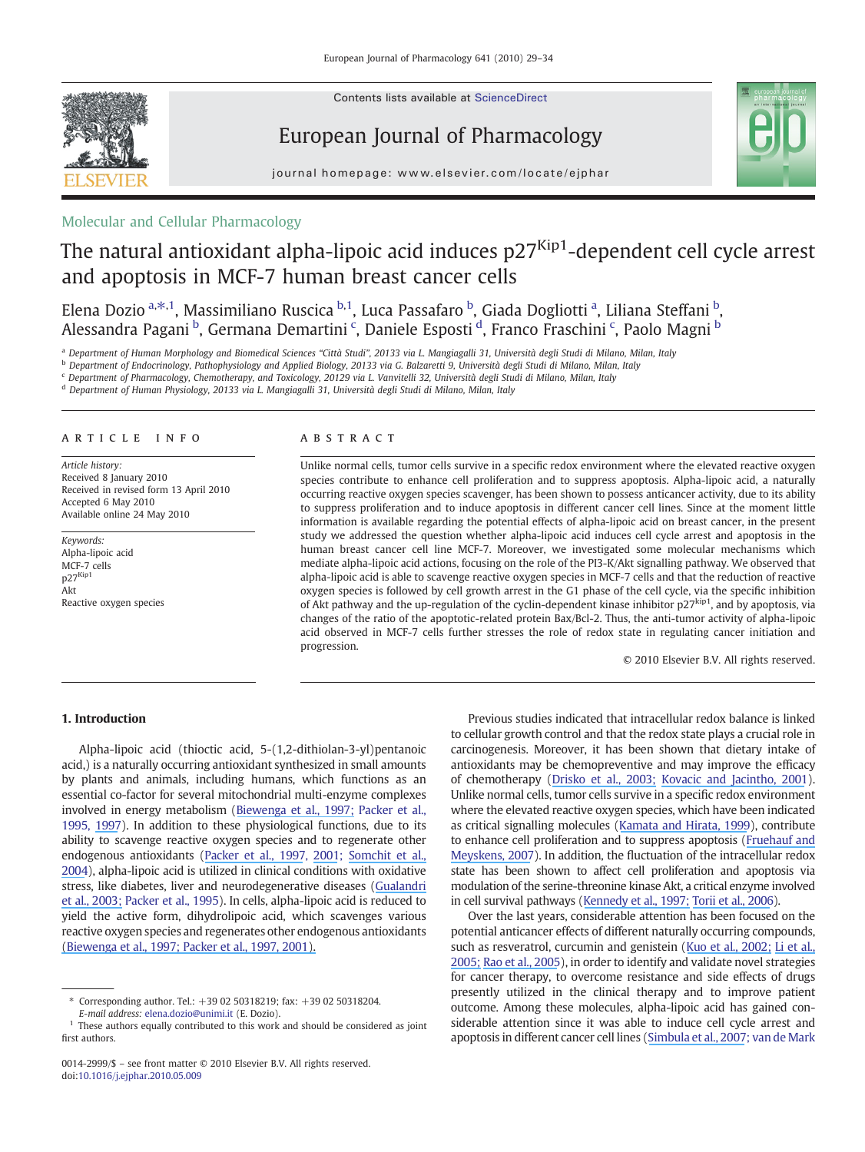Contents lists available at ScienceDirect



European Journal of Pharmacology



 $j$  o u r n a l  $h$  om e  $r$ . The set is even in  $\mathcal{L}_{\text{max}}$  of  $p$  is  $\mathcal{L}_{\text{max}}$ 

# Molecular and Cellular Pharmacology

# The natural antioxidant alpha-lipoic acid induces  $p27<sup>Kip1</sup>$ -dependent cell cycle arrest and apoptosis in MCF-7 human breast cancer cells

Elena Dozio <sup>a, $\ast$ ,1, Massimiliano Ruscica <sup>b,1</sup>, Luca Passafaro <sup>b</sup>, Giada Dogliotti <sup>a</sup>, Liliana Steffani <sup>b</sup>,</sup> Alessandra Pagani <sup>b</sup>, Germana Demartini <sup>c</sup>, Daniele Esposti <sup>d</sup>, Franco Fraschini <sup>c</sup>, Paolo Magni <sup>b</sup>

a Department of Human Morphology and Biomedical Sciences "Città Studi", 20133 via L. Mangiagalli 31, Università degli Studi di Milano, Milan, Italy

<sup>b</sup> Department of Endocrinology, Pathophysiology and Applied Biology, 20133 via G. Balzaretti 9, Università degli Studi di Milano, Milan, Italy

<sup>c</sup> Department of Pharmacology, Chemotherapy, and Toxicology, 20129 via L. Vanvitelli 32, Università degli Studi di Milano, Milan, Italy

<sup>d</sup> Department of Human Physiology, 20133 via L. Mangiagalli 31, Università degli Studi di Milano, Milan, Italy

#### article info abstract

Article history: Received 8 January 2010 Received in revised form 13 April 2010 Accepted 6 May 2010 Available online 24 May 2010

Keywords: Alpha-lipoic acid MCF-7 cells p27Kip1 Akt Reactive oxygen species

Unlike normal cells, tumor cells survive in a specific redox environment where the elevated reactive oxygen species contribute to enhance cell proliferation and to suppress apoptosis. Alpha-lipoic acid, a naturally occurring reactive oxygen species scavenger, has been shown to possess anticancer activity, due to its ability to suppress proliferation and to induce apoptosis in different cancer cell lines. Since at the moment little information is available regarding the potential effects of alpha-lipoic acid on breast cancer, in the present study we addressed the question whether alpha-lipoic acid induces cell cycle arrest and apoptosis in the human breast cancer cell line MCF-7. Moreover, we investigated some molecular mechanisms which mediate alpha-lipoic acid actions, focusing on the role of the PI3-K/Akt signalling pathway. We observed that alpha-lipoic acid is able to scavenge reactive oxygen species in MCF-7 cells and that the reduction of reactive oxygen species is followed by cell growth arrest in the G1 phase of the cell cycle, via the specific inhibition of Akt pathway and the up-regulation of the cyclin-dependent kinase inhibitor p27<sup>kip1</sup>, and by apoptosis, via changes of the ratio of the apoptotic-related protein Bax/Bcl-2. Thus, the anti-tumor activity of alpha-lipoic acid observed in MCF-7 cells further stresses the role of redox state in regulating cancer initiation and progression.

© 2010 Elsevier B.V. All rights reserved.

### 1. Introduction

Alpha-lipoic acid (thioctic acid, 5-(1,2-dithiolan-3-yl)pentanoic acid,) is a naturally occurring antioxidant synthesized in small amounts by plants and animals, including humans, which functions as an essential co-factor for several mitochondrial multi-enzyme complexes involved in energy metabolism ([Biewenga et al., 1997;](https://www.researchgate.net/publication/13852229_The_pharmacology_of_the_antioxidant_Lipoic_acid?el=1_x_8&enrichId=rgreq-6e1925e6-a79b-4541-8f50-d3ebefe93c0f&enrichSource=Y292ZXJQYWdlOzQ0ODAyNjI3O0FTOjk5OTIyMzUxMjMwOTg0QDE0MDA4MzQ3NTM0OTM=) Packer et al., 1995, [1997](https://www.researchgate.net/publication/251464397_a-Lipoic_Acid_A_Metabolic_Antioxidant_and_Potential_Redox_Modulator_of_Transcription?el=1_x_8&enrichId=rgreq-6e1925e6-a79b-4541-8f50-d3ebefe93c0f&enrichSource=Y292ZXJQYWdlOzQ0ODAyNjI3O0FTOjk5OTIyMzUxMjMwOTg0QDE0MDA4MzQ3NTM0OTM=)). In addition to these physiological functions, due to its ability to scavenge reactive oxygen species and to regenerate other endogenous antioxidants [\(Packer et al., 1997](https://www.researchgate.net/publication/251464397_a-Lipoic_Acid_A_Metabolic_Antioxidant_and_Potential_Redox_Modulator_of_Transcription?el=1_x_8&enrichId=rgreq-6e1925e6-a79b-4541-8f50-d3ebefe93c0f&enrichSource=Y292ZXJQYWdlOzQ0ODAyNjI3O0FTOjk5OTIyMzUxMjMwOTg0QDE0MDA4MzQ3NTM0OTM=), [2001](https://www.researchgate.net/publication/11669443_Molecular_Aspects_of_Lipoic_Acid_in_the_Prevention_of_Diabetes_Complications?el=1_x_8&enrichId=rgreq-6e1925e6-a79b-4541-8f50-d3ebefe93c0f&enrichSource=Y292ZXJQYWdlOzQ0ODAyNjI3O0FTOjk5OTIyMzUxMjMwOTg0QDE0MDA4MzQ3NTM0OTM=); [Somchit et al.,](https://www.researchgate.net/publication/8207552_Liver_injury_induced_by_the_non-steroidal_anti-inflammatory_drug_mefenamic_acid?el=1_x_8&enrichId=rgreq-6e1925e6-a79b-4541-8f50-d3ebefe93c0f&enrichSource=Y292ZXJQYWdlOzQ0ODAyNjI3O0FTOjk5OTIyMzUxMjMwOTg0QDE0MDA4MzQ3NTM0OTM=) [2004](https://www.researchgate.net/publication/8207552_Liver_injury_induced_by_the_non-steroidal_anti-inflammatory_drug_mefenamic_acid?el=1_x_8&enrichId=rgreq-6e1925e6-a79b-4541-8f50-d3ebefe93c0f&enrichSource=Y292ZXJQYWdlOzQ0ODAyNjI3O0FTOjk5OTIyMzUxMjMwOTg0QDE0MDA4MzQ3NTM0OTM=)), alpha-lipoic acid is utilized in clinical conditions with oxidative stress, like diabetes, liver and neurodegenerative diseases ([Gualandri](https://www.researchgate.net/publication/9005853_Redox_balance_in_patients_with_Down) [et al., 2003;](https://www.researchgate.net/publication/9005853_Redox_balance_in_patients_with_Down) Packer et al., 1995). In cells, alpha-lipoic acid is reduced to yield the active form, dihydrolipoic acid, which scavenges various reactive oxygen species and regenerates other endogenous antioxidants [\(B](https://www.researchgate.net/publication/14310800_Alpha-Lipoic_Acid_A_Metabolic_Antioxidant_and_Redox_Modulator_of_Transcription?el=1_x_8&enrichId=rgreq-6e1925e6-a79b-4541-8f50-d3ebefe93c0f&enrichSource=Y292ZXJQYWdlOzQ0ODAyNjI3O0FTOjk5OTIyMzUxMjMwOTg0QDE0MDA4MzQ3NTM0OTM=)[iewenga et al., 1997](https://www.researchgate.net/publication/13852229_The_pharmacology_of_the_antioxidant_Lipoic_acid?el=1_x_8&enrichId=rgreq-6e1925e6-a79b-4541-8f50-d3ebefe93c0f&enrichSource=Y292ZXJQYWdlOzQ0ODAyNjI3O0FTOjk5OTIyMzUxMjMwOTg0QDE0MDA4MzQ3NTM0OTM=)[;](https://www.researchgate.net/publication/14310800_Alpha-Lipoic_Acid_A_Metabolic_Antioxidant_and_Redox_Modulator_of_Transcription?el=1_x_8&enrichId=rgreq-6e1925e6-a79b-4541-8f50-d3ebefe93c0f&enrichSource=Y292ZXJQYWdlOzQ0ODAyNjI3O0FTOjk5OTIyMzUxMjMwOTg0QDE0MDA4MzQ3NTM0OTM=) [Packer et al., 199](https://www.researchgate.net/publication/251464397_a-Lipoic_Acid_A_Metabolic_Antioxidant_and_Potential_Redox_Modulator_of_Transcription?el=1_x_8&enrichId=rgreq-6e1925e6-a79b-4541-8f50-d3ebefe93c0f&enrichSource=Y292ZXJQYWdlOzQ0ODAyNjI3O0FTOjk5OTIyMzUxMjMwOTg0QDE0MDA4MzQ3NTM0OTM=)[7,](https://www.researchgate.net/publication/14310800_Alpha-Lipoic_Acid_A_Metabolic_Antioxidant_and_Redox_Modulator_of_Transcription?el=1_x_8&enrichId=rgreq-6e1925e6-a79b-4541-8f50-d3ebefe93c0f&enrichSource=Y292ZXJQYWdlOzQ0ODAyNjI3O0FTOjk5OTIyMzUxMjMwOTg0QDE0MDA4MzQ3NTM0OTM=) [200](https://www.researchgate.net/publication/11669443_Molecular_Aspects_of_Lipoic_Acid_in_the_Prevention_of_Diabetes_Complications?el=1_x_8&enrichId=rgreq-6e1925e6-a79b-4541-8f50-d3ebefe93c0f&enrichSource=Y292ZXJQYWdlOzQ0ODAyNjI3O0FTOjk5OTIyMzUxMjMwOTg0QDE0MDA4MzQ3NTM0OTM=)[1\).](https://www.researchgate.net/publication/14310800_Alpha-Lipoic_Acid_A_Metabolic_Antioxidant_and_Redox_Modulator_of_Transcription?el=1_x_8&enrichId=rgreq-6e1925e6-a79b-4541-8f50-d3ebefe93c0f&enrichSource=Y292ZXJQYWdlOzQ0ODAyNjI3O0FTOjk5OTIyMzUxMjMwOTg0QDE0MDA4MzQ3NTM0OTM=)

Previous studies indicated that intracellular redox balance is linked to cellular growth control and that the redox state plays a crucial role in carcinogenesis. Moreover, it has been shown that dietary intake of antioxidants may be chemopreventive and may improve the efficacy of chemotherapy [\(Drisko et al., 2003;](https://www.researchgate.net/publication/10845249_The_use_of_antioxidant_therapies_during_chemotherapy?el=1_x_8&enrichId=rgreq-6e1925e6-a79b-4541-8f50-d3ebefe93c0f&enrichSource=Y292ZXJQYWdlOzQ0ODAyNjI3O0FTOjk5OTIyMzUxMjMwOTg0QDE0MDA4MzQ3NTM0OTM=) [Kovacic and Jacintho, 2001](https://www.researchgate.net/publication/11962224_Mechanisms_of_Carcinogenesis_Focus_on_Oxidative_Stress_and_Electron_Transfer?el=1_x_8&enrichId=rgreq-6e1925e6-a79b-4541-8f50-d3ebefe93c0f&enrichSource=Y292ZXJQYWdlOzQ0ODAyNjI3O0FTOjk5OTIyMzUxMjMwOTg0QDE0MDA4MzQ3NTM0OTM=)). Unlike normal cells, tumor cells survive in a specific redox environment where the elevated reactive oxygen species, which have been indicated as critical signalling molecules ([Kamata and Hirata, 1999](https://www.researchgate.net/publication/13092604_Redox_Regulation_of_Cellular_Signalling?el=1_x_8&enrichId=rgreq-6e1925e6-a79b-4541-8f50-d3ebefe93c0f&enrichSource=Y292ZXJQYWdlOzQ0ODAyNjI3O0FTOjk5OTIyMzUxMjMwOTg0QDE0MDA4MzQ3NTM0OTM=)), contribute to enhance cell proliferation and to suppress apoptosis [\(Fruehauf and](https://www.researchgate.net/publication/6514829_Reactive_Oxygen_Species_A_Breath_of_Life_or_Death?el=1_x_8&enrichId=rgreq-6e1925e6-a79b-4541-8f50-d3ebefe93c0f&enrichSource=Y292ZXJQYWdlOzQ0ODAyNjI3O0FTOjk5OTIyMzUxMjMwOTg0QDE0MDA4MzQ3NTM0OTM=) [Meyskens, 2007](https://www.researchgate.net/publication/6514829_Reactive_Oxygen_Species_A_Breath_of_Life_or_Death?el=1_x_8&enrichId=rgreq-6e1925e6-a79b-4541-8f50-d3ebefe93c0f&enrichSource=Y292ZXJQYWdlOzQ0ODAyNjI3O0FTOjk5OTIyMzUxMjMwOTg0QDE0MDA4MzQ3NTM0OTM=)). In addition, the fluctuation of the intracellular redox state has been shown to affect cell proliferation and apoptosis via modulation of the serine-threonine kinase Akt, a critical enzyme involved in cell survival pathways ([Kennedy et al., 1997;](https://www.researchgate.net/publication/14129186_Kennedy_SG_et_al_The_PI_3-kinaseAkt_signaling_pathway_delivers_an_anti-apoptotic_signal_Genes_Dev_11_701-713?el=1_x_8&enrichId=rgreq-6e1925e6-a79b-4541-8f50-d3ebefe93c0f&enrichSource=Y292ZXJQYWdlOzQ0ODAyNjI3O0FTOjk5OTIyMzUxMjMwOTg0QDE0MDA4MzQ3NTM0OTM=) [Torii et al., 2006](https://www.researchgate.net/publication/6983459_ERK_MAP_kinase_in_G1_cell_cycle_progression_and_cancer?el=1_x_8&enrichId=rgreq-6e1925e6-a79b-4541-8f50-d3ebefe93c0f&enrichSource=Y292ZXJQYWdlOzQ0ODAyNjI3O0FTOjk5OTIyMzUxMjMwOTg0QDE0MDA4MzQ3NTM0OTM=)).

Over the last years, considerable attention has been focused on the potential anticancer effects of different naturally occurring compounds, such as resveratrol, curcumin and genistein ([Kuo et al., 2002;](https://www.researchgate.net/publication/11055867_Resveratrol-induced_apoptosis_is_mediated_by_p53-dependent_pathway_in_HepG2_cells?el=1_x_8&enrichId=rgreq-6e1925e6-a79b-4541-8f50-d3ebefe93c0f&enrichSource=Y292ZXJQYWdlOzQ0ODAyNjI3O0FTOjk5OTIyMzUxMjMwOTg0QDE0MDA4MzQ3NTM0OTM=) [Li et al.,](https://www.researchgate.net/publication/7685582_Inactivation_of_Nuclear_Factor_kB_by_Soy_Isoflavone_Genistein_Contributes_to_Increased_Apoptosis_Induced_by_Chemotherapeutic_Agents_in_Human_Cancer_Cells?el=1_x_8&enrichId=rgreq-6e1925e6-a79b-4541-8f50-d3ebefe93c0f&enrichSource=Y292ZXJQYWdlOzQ0ODAyNjI3O0FTOjk5OTIyMzUxMjMwOTg0QDE0MDA4MzQ3NTM0OTM=) [2005;](https://www.researchgate.net/publication/7685582_Inactivation_of_Nuclear_Factor_kB_by_Soy_Isoflavone_Genistein_Contributes_to_Increased_Apoptosis_Induced_by_Chemotherapeutic_Agents_in_Human_Cancer_Cells?el=1_x_8&enrichId=rgreq-6e1925e6-a79b-4541-8f50-d3ebefe93c0f&enrichSource=Y292ZXJQYWdlOzQ0ODAyNjI3O0FTOjk5OTIyMzUxMjMwOTg0QDE0MDA4MzQ3NTM0OTM=) [Rao et al., 2005](https://www.researchgate.net/publication/15386163_Chemoprevention_of_colon_carcinogenesis_by_dietary_curcumin_A_naturally_occurring_plant_phenolic_compound?el=1_x_8&enrichId=rgreq-6e1925e6-a79b-4541-8f50-d3ebefe93c0f&enrichSource=Y292ZXJQYWdlOzQ0ODAyNjI3O0FTOjk5OTIyMzUxMjMwOTg0QDE0MDA4MzQ3NTM0OTM=)), in order to identify and validate novel strategies for cancer therapy, to overcome resistance and side effects of drugs presently utilized in the clinical therapy and to improve patient outcome. Among these molecules, alpha-lipoic acid has gained considerable attention since it was able to induce cell cycle arrest and apoptosis in different cancer cell lines ([Simbula et al., 2007](https://www.researchgate.net/publication/246931904_Increased_ROS_generation_and_p53_activation_in_alpha-lipoic_acid-induced_apoptosis_of_hepatoma_cells_Apoptosis?el=1_x_8&enrichId=rgreq-6e1925e6-a79b-4541-8f50-d3ebefe93c0f&enrichSource=Y292ZXJQYWdlOzQ0ODAyNjI3O0FTOjk5OTIyMzUxMjMwOTg0QDE0MDA4MzQ3NTM0OTM=); van de Mark

<sup>⁎</sup> Corresponding author. Tel.: +39 02 50318219; fax: +39 02 50318204. E-mail address: [elena.dozio@unimi.it](mailto:elena.dozio@unimi.it) (E. Dozio).

 $1$  These authors equally contributed to this work and should be considered as joint first authors.

<sup>0014-2999/\$</sup> – see front matter © 2010 Elsevier B.V. All rights reserved. doi:[10.1016/j.ejphar.2010.05.009](http://dx.doi.org/10.1016/j.ejphar.2010.05.009)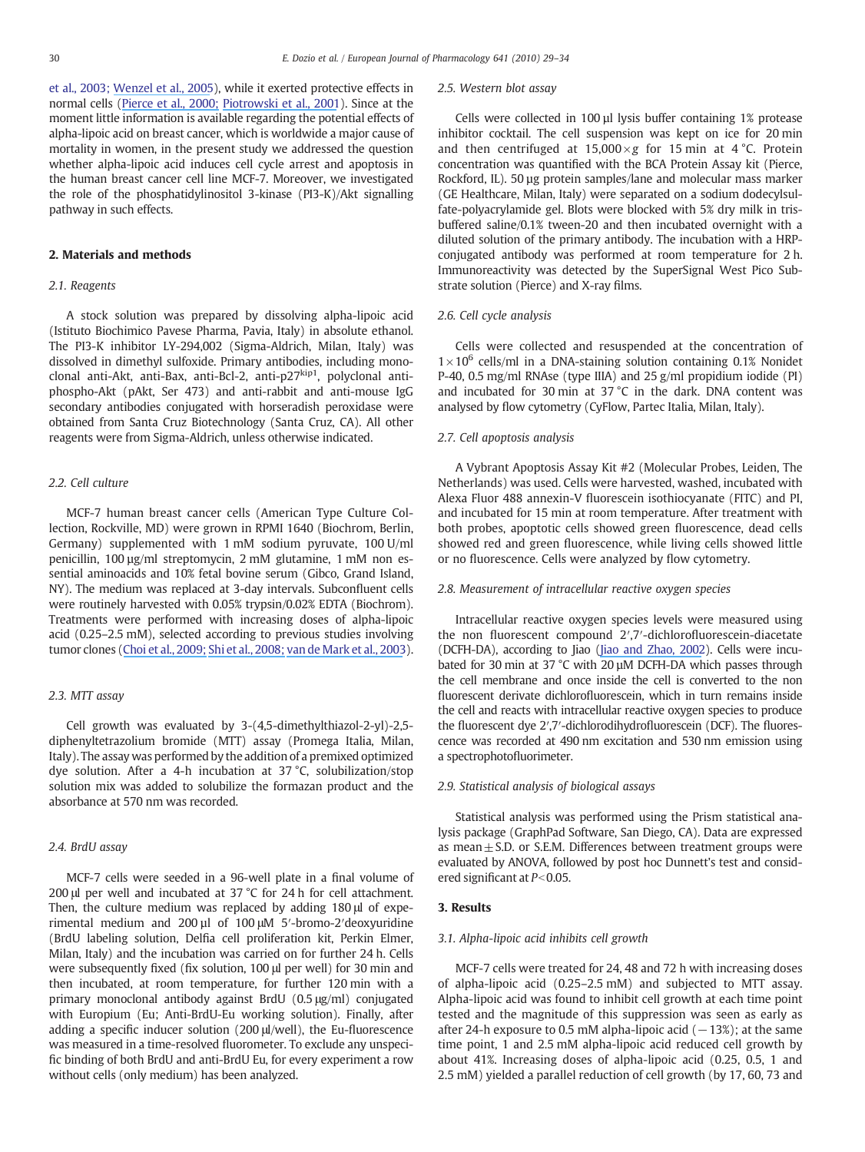et al., 2003; [Wenzel et al., 2005](https://www.researchgate.net/publication/7893455_Alpha-Lipoic_acid_induces_apoptosis_in_human_colon_cancer_cells_by_increasing_mitochondrial_respiration_with_a_concomitant_O2--generation_Apoptosis?el=1_x_8&enrichId=rgreq-6e1925e6-a79b-4541-8f50-d3ebefe93c0f&enrichSource=Y292ZXJQYWdlOzQ0ODAyNjI3O0FTOjk5OTIyMzUxMjMwOTg0QDE0MDA4MzQ3NTM0OTM=)), while it exerted protective effects in normal cells [\(Pierce et al., 2000;](https://www.researchgate.net/publication/12439367_Disruption_of_Redox_Homeostasis_in_Tumor_Necrosis_Factor-Induced_Apoptosis_in_a_Murine_Hepatocyte_Cell_Line?el=1_x_8&enrichId=rgreq-6e1925e6-a79b-4541-8f50-d3ebefe93c0f&enrichSource=Y292ZXJQYWdlOzQ0ODAyNjI3O0FTOjk5OTIyMzUxMjMwOTg0QDE0MDA4MzQ3NTM0OTM=) [Piotrowski et al., 2001](https://www.researchgate.net/publication/11587967_Neuronal_death_in_the_rat_hippocampus_in_experimental_diabetes_and_cerebral_ischemia_treated_with_antioxidants?el=1_x_8&enrichId=rgreq-6e1925e6-a79b-4541-8f50-d3ebefe93c0f&enrichSource=Y292ZXJQYWdlOzQ0ODAyNjI3O0FTOjk5OTIyMzUxMjMwOTg0QDE0MDA4MzQ3NTM0OTM=)). Since at the moment little information is available regarding the potential effects of alpha-lipoic acid on breast cancer, which is worldwide a major cause of mortality in women, in the present study we addressed the question whether alpha-lipoic acid induces cell cycle arrest and apoptosis in the human breast cancer cell line MCF-7. Moreover, we investigated the role of the phosphatidylinositol 3-kinase (PI3-K)/Akt signalling pathway in such effects.

#### 2. Materials and methods

#### 2.1. Reagents

A stock solution was prepared by dissolving alpha-lipoic acid (Istituto Biochimico Pavese Pharma, Pavia, Italy) in absolute ethanol. The PI3-K inhibitor LY-294,002 (Sigma-Aldrich, Milan, Italy) was dissolved in dimethyl sulfoxide. Primary antibodies, including monoclonal anti-Akt, anti-Bax, anti-Bcl-2, anti-p27<sup>kip1</sup>, polyclonal antiphospho-Akt (pAkt, Ser 473) and anti-rabbit and anti-mouse IgG secondary antibodies conjugated with horseradish peroxidase were obtained from Santa Cruz Biotechnology (Santa Cruz, CA). All other reagents were from Sigma-Aldrich, unless otherwise indicated.

#### 2.2. Cell culture

MCF-7 human breast cancer cells (American Type Culture Collection, Rockville, MD) were grown in RPMI 1640 (Biochrom, Berlin, Germany) supplemented with 1 mM sodium pyruvate, 100 U/ml penicillin, 100 µg/ml streptomycin, 2 mM glutamine, 1 mM non essential aminoacids and 10% fetal bovine serum (Gibco, Grand Island, NY). The medium was replaced at 3-day intervals. Subconfluent cells were routinely harvested with 0.05% trypsin/0.02% EDTA (Biochrom). Treatments were performed with increasing doses of alpha-lipoic acid (0.25–2.5 mM), selected according to previous studies involving tumor clones ([Choi et al., 2009;](https://www.researchgate.net/publication/26782514_Mechanism_of_a-Lipoic_Acid-Induced_Apoptosis_of_Lung_Cancer_Cells?el=1_x_8&enrichId=rgreq-6e1925e6-a79b-4541-8f50-d3ebefe93c0f&enrichSource=Y292ZXJQYWdlOzQ0ODAyNjI3O0FTOjk5OTIyMzUxMjMwOTg0QDE0MDA4MzQ3NTM0OTM=) [Shi et al., 2008;](https://www.researchgate.net/publication/5416853_Alpha-lipoic_acid_induces_apoptosis_in_hepatoma_cells_via_the_PTENAkt_pathway?el=1_x_8&enrichId=rgreq-6e1925e6-a79b-4541-8f50-d3ebefe93c0f&enrichSource=Y292ZXJQYWdlOzQ0ODAyNjI3O0FTOjk5OTIyMzUxMjMwOTg0QDE0MDA4MzQ3NTM0OTM=) [van de Mark et al., 2003](https://www.researchgate.net/publication/10931971_-Lipoic_acid_induces_p27Kip-dependent_cell_cycle_arrest_in_non-transformed_cell_lines_and_apoptosis_in_tumor_cell_lines?el=1_x_8&enrichId=rgreq-6e1925e6-a79b-4541-8f50-d3ebefe93c0f&enrichSource=Y292ZXJQYWdlOzQ0ODAyNjI3O0FTOjk5OTIyMzUxMjMwOTg0QDE0MDA4MzQ3NTM0OTM=)).

#### 2.3. MTT assay

Cell growth was evaluated by 3-(4,5-dimethylthiazol-2-yl)-2,5 diphenyltetrazolium bromide (MTT) assay (Promega Italia, Milan, Italy). The assay was performed by the addition of a premixed optimized dye solution. After a 4-h incubation at 37 °C, solubilization/stop solution mix was added to solubilize the formazan product and the absorbance at 570 nm was recorded.

#### 2.4. BrdU assay

MCF-7 cells were seeded in a 96-well plate in a final volume of 200 μl per well and incubated at 37 °C for 24 h for cell attachment. Then, the culture medium was replaced by adding 180 μl of experimental medium and 200 µl of 100 μM 5′-bromo-2′deoxyuridine (BrdU labeling solution, Delfia cell proliferation kit, Perkin Elmer, Milan, Italy) and the incubation was carried on for further 24 h. Cells were subsequently fixed (fix solution, 100 μl per well) for 30 min and then incubated, at room temperature, for further 120 min with a primary monoclonal antibody against BrdU (0.5 μg/ml) conjugated with Europium (Eu; Anti-BrdU-Eu working solution). Finally, after adding a specific inducer solution (200 μl/well), the Eu-fluorescence was measured in a time-resolved fluorometer. To exclude any unspecific binding of both BrdU and anti-BrdU Eu, for every experiment a row without cells (only medium) has been analyzed.

#### 2.5. Western blot assay

Cells were collected in 100 µl lysis buffer containing 1% protease inhibitor cocktail. The cell suspension was kept on ice for 20 min and then centrifuged at  $15,000 \times g$  for 15 min at 4 °C. Protein concentration was quantified with the BCA Protein Assay kit (Pierce, Rockford, IL). 50 µg protein samples/lane and molecular mass marker (GE Healthcare, Milan, Italy) were separated on a sodium dodecylsulfate-polyacrylamide gel. Blots were blocked with 5% dry milk in trisbuffered saline/0.1% tween-20 and then incubated overnight with a diluted solution of the primary antibody. The incubation with a HRPconjugated antibody was performed at room temperature for 2 h. Immunoreactivity was detected by the SuperSignal West Pico Substrate solution (Pierce) and X-ray films.

#### 2.6. Cell cycle analysis

Cells were collected and resuspended at the concentration of  $1\times10^6$  cells/ml in a DNA-staining solution containing 0.1% Nonidet P-40, 0.5 mg/ml RNAse (type IIIA) and 25 g/ml propidium iodide (PI) and incubated for 30 min at  $37^{\circ}$ C in the dark. DNA content was analysed by flow cytometry (CyFlow, Partec Italia, Milan, Italy).

#### 2.7. Cell apoptosis analysis

A Vybrant Apoptosis Assay Kit #2 (Molecular Probes, Leiden, The Netherlands) was used. Cells were harvested, washed, incubated with Alexa Fluor 488 annexin-V fluorescein isothiocyanate (FITC) and PI, and incubated for 15 min at room temperature. After treatment with both probes, apoptotic cells showed green fluorescence, dead cells showed red and green fluorescence, while living cells showed little or no fluorescence. Cells were analyzed by flow cytometry.

#### 2.8. Measurement of intracellular reactive oxygen species

Intracellular reactive oxygen species levels were measured using the non fluorescent compound 2′,7′-dichlorofluorescein-diacetate (DCFH-DA), according to Jiao [\(Jiao and Zhao, 2002](https://www.researchgate.net/publication/10976020_Cytotoxic_effect_of_peroxisome_proliferator_fenofibrate_on_human_HepG2_hepatoma_cell_line_and_relevant_mechanisms?el=1_x_8&enrichId=rgreq-6e1925e6-a79b-4541-8f50-d3ebefe93c0f&enrichSource=Y292ZXJQYWdlOzQ0ODAyNjI3O0FTOjk5OTIyMzUxMjMwOTg0QDE0MDA4MzQ3NTM0OTM=)). Cells were incubated for 30 min at 37 °C with 20 µM DCFH-DA which passes through the cell membrane and once inside the cell is converted to the non fluorescent derivate dichlorofluorescein, which in turn remains inside the cell and reacts with intracellular reactive oxygen species to produce the fluorescent dye 2′,7′-dichlorodihydrofluorescein (DCF). The fluorescence was recorded at 490 nm excitation and 530 nm emission using a spectrophotofluorimeter.

#### 2.9. Statistical analysis of biological assays

Statistical analysis was performed using the Prism statistical analysis package (GraphPad Software, San Diego, CA). Data are expressed as mean $\pm$  S.D. or S.E.M. Differences between treatment groups were evaluated by ANOVA, followed by post hoc Dunnett's test and considered significant at  $P<0.05$ .

#### 3. Results

#### 3.1. Alpha-lipoic acid inhibits cell growth

MCF-7 cells were treated for 24, 48 and 72 h with increasing doses of alpha-lipoic acid (0.25–2.5 mM) and subjected to MTT assay. Alpha-lipoic acid was found to inhibit cell growth at each time point tested and the magnitude of this suppression was seen as early as after 24-h exposure to 0.5 mM alpha-lipoic acid  $(-13%)$ ; at the same time point, 1 and 2.5 mM alpha-lipoic acid reduced cell growth by about 41%. Increasing doses of alpha-lipoic acid (0.25, 0.5, 1 and 2.5 mM) yielded a parallel reduction of cell growth (by 17, 60, 73 and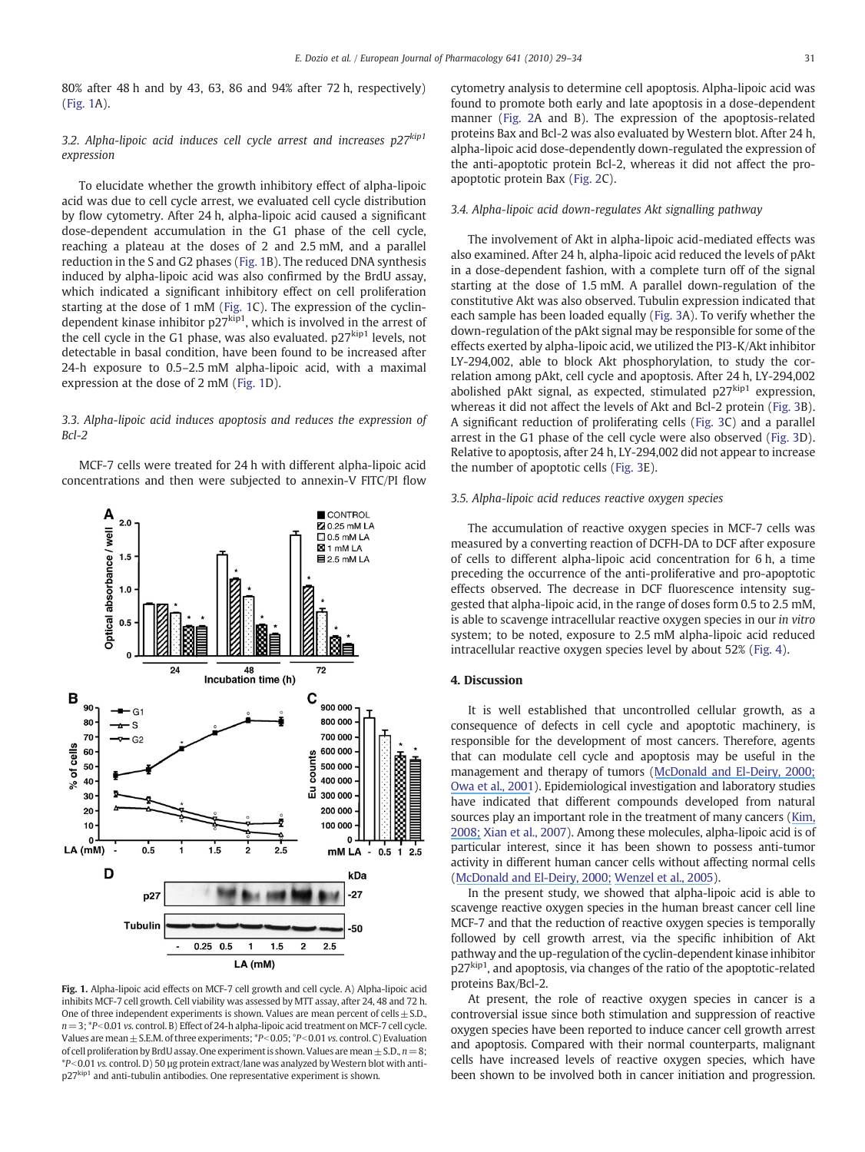80% after 48 h and by 43, 63, 86 and 94% after 72 h, respectively) (Fig. 1A).

## 3.2. Alpha-lipoic acid induces cell cycle arrest and increases  $p27^{kip1}$ expression

To elucidate whether the growth inhibitory effect of alpha-lipoic acid was due to cell cycle arrest, we evaluated cell cycle distribution by flow cytometry. After 24 h, alpha-lipoic acid caused a significant dose-dependent accumulation in the G1 phase of the cell cycle, reaching a plateau at the doses of 2 and 2.5 mM, and a parallel reduction in the S and G2 phases (Fig. 1B). The reduced DNA synthesis induced by alpha-lipoic acid was also confirmed by the BrdU assay, which indicated a significant inhibitory effect on cell proliferation starting at the dose of 1 mM (Fig. 1C). The expression of the cyclindependent kinase inhibitor  $p27^{kip1}$ , which is involved in the arrest of the cell cycle in the G1 phase, was also evaluated.  $p27<sup>kip1</sup>$  levels, not detectable in basal condition, have been found to be increased after 24-h exposure to 0.5–2.5 mM alpha-lipoic acid, with a maximal expression at the dose of 2 mM (Fig. 1D).

#### 3.3. Alpha-lipoic acid induces apoptosis and reduces the expression of Bcl-2

MCF-7 cells were treated for 24 h with different alpha-lipoic acid concentrations and then were subjected to annexin-V FITC/PI flow



Fig. 1. Alpha-lipoic acid effects on MCF-7 cell growth and cell cycle. A) Alpha-lipoic acid inhibits MCF-7 cell growth. Cell viability was assessed by MTT assay, after 24, 48 and 72 h. One of three independent experiments is shown. Values are mean percent of cells  $\pm$  S.D.,  $n=3$ ;  $*P<0.01$  vs. control. B) Effect of 24-h alpha-lipoic acid treatment on MCF-7 cell cycle. Values are mean  $\pm$  S.E.M. of three experiments;  $*P<0.05$ ;  $P<0.01$  vs. control. C) Evaluation of cell proliferation by BrdU assay. One experiment is shown. Values are mean  $\pm$  S.D.,  $n=8$ ;  $*P<0.01$  vs. control. D) 50 µg protein extract/lane was analyzed by Western blot with antip27<sup>kip1</sup> and anti-tubulin antibodies. One representative experiment is shown.

cytometry analysis to determine cell apoptosis. Alpha-lipoic acid was found to promote both early and late apoptosis in a dose-dependent manner (Fig. 2A and B). The expression of the apoptosis-related proteins Bax and Bcl-2 was also evaluated by Western blot. After 24 h, alpha-lipoic acid dose-dependently down-regulated the expression of the anti-apoptotic protein Bcl-2, whereas it did not affect the proapoptotic protein Bax (Fig. 2C).

#### 3.4. Alpha-lipoic acid down-regulates Akt signalling pathway

The involvement of Akt in alpha-lipoic acid-mediated effects was also examined. After 24 h, alpha-lipoic acid reduced the levels of pAkt in a dose-dependent fashion, with a complete turn off of the signal starting at the dose of 1.5 mM. A parallel down-regulation of the constitutive Akt was also observed. Tubulin expression indicated that each sample has been loaded equally (Fig. 3A). To verify whether the down-regulation of the pAkt signal may be responsible for some of the effects exerted by alpha-lipoic acid, we utilized the PI3-K/Akt inhibitor LY-294,002, able to block Akt phosphorylation, to study the correlation among pAkt, cell cycle and apoptosis. After 24 h, LY-294,002 abolished pAkt signal, as expected, stimulated  $p27<sup>kip1</sup>$  expression, whereas it did not affect the levels of Akt and Bcl-2 protein (Fig. 3B). A significant reduction of proliferating cells (Fig. 3C) and a parallel arrest in the G1 phase of the cell cycle were also observed (Fig. 3D). Relative to apoptosis, after 24 h, LY-294,002 did not appear to increase the number of apoptotic cells (Fig. 3E).

#### 3.5. Alpha-lipoic acid reduces reactive oxygen species

The accumulation of reactive oxygen species in MCF-7 cells was measured by a converting reaction of DCFH-DA to DCF after exposure of cells to different alpha-lipoic acid concentration for 6 h, a time preceding the occurrence of the anti-proliferative and pro-apoptotic effects observed. The decrease in DCF fluorescence intensity suggested that alpha-lipoic acid, in the range of doses form 0.5 to 2.5 mM, is able to scavenge intracellular reactive oxygen species in our in vitro system; to be noted, exposure to 2.5 mM alpha-lipoic acid reduced intracellular reactive oxygen species level by about 52% (Fig. 4).

#### 4. Discussion

It is well established that uncontrolled cellular growth, as a consequence of defects in cell cycle and apoptotic machinery, is responsible for the development of most cancers. Therefore, agents that can modulate cell cycle and apoptosis may be useful in the management and therapy of tumors ([McDonald and El-Deiry, 2000;](https://www.researchgate.net/publication/12553143_Cell_cycle_control_as_a_basis_for_cancer_drug_development_Int_J_Oncol_165871-86?el=1_x_8&enrichId=rgreq-6e1925e6-a79b-4541-8f50-d3ebefe93c0f&enrichSource=Y292ZXJQYWdlOzQ0ODAyNjI3O0FTOjk5OTIyMzUxMjMwOTg0QDE0MDA4MzQ3NTM0OTM=) [Owa et al., 2001](https://www.researchgate.net/publication/11786290_Cell_Cycle_Regulation_in_the_G1_Phase_A_Promising_Target_for_the_Development_of_New_Chemotherapeutic_Anticancer_Agents?el=1_x_8&enrichId=rgreq-6e1925e6-a79b-4541-8f50-d3ebefe93c0f&enrichSource=Y292ZXJQYWdlOzQ0ODAyNjI3O0FTOjk5OTIyMzUxMjMwOTg0QDE0MDA4MzQ3NTM0OTM=)). Epidemiological investigation and laboratory studies have indicated that different compounds developed from natural sources play an important role in the treatment of many cancers ([Kim,](https://www.researchgate.net/publication/23272143_Butein_sensitizes_human_leukemia_cells_to_apoptosis_induced_by_tumor_necrosis_factor-related_apoptosis_inducing_ligand_TRAIL_Arch_Pharm_Res_311179?el=1_x_8&enrichId=rgreq-6e1925e6-a79b-4541-8f50-d3ebefe93c0f&enrichSource=Y292ZXJQYWdlOzQ0ODAyNjI3O0FTOjk5OTIyMzUxMjMwOTg0QDE0MDA4MzQ3NTM0OTM=) [2008;](https://www.researchgate.net/publication/23272143_Butein_sensitizes_human_leukemia_cells_to_apoptosis_induced_by_tumor_necrosis_factor-related_apoptosis_inducing_ligand_TRAIL_Arch_Pharm_Res_311179?el=1_x_8&enrichId=rgreq-6e1925e6-a79b-4541-8f50-d3ebefe93c0f&enrichSource=Y292ZXJQYWdlOzQ0ODAyNjI3O0FTOjk5OTIyMzUxMjMwOTg0QDE0MDA4MzQ3NTM0OTM=) Xian et al., 2007). Among these molecules, alpha-lipoic acid is of particular interest, since it has been shown to possess anti-tumor activity in different human cancer cells without affecting normal cells ([McDonald and El-Deiry, 2000;](https://www.researchgate.net/publication/12553143_Cell_cycle_control_as_a_basis_for_cancer_drug_development_Int_J_Oncol_165871-86?el=1_x_8&enrichId=rgreq-6e1925e6-a79b-4541-8f50-d3ebefe93c0f&enrichSource=Y292ZXJQYWdlOzQ0ODAyNjI3O0FTOjk5OTIyMzUxMjMwOTg0QDE0MDA4MzQ3NTM0OTM=) [Wenzel et al., 2005](https://www.researchgate.net/publication/7893455_Alpha-Lipoic_acid_induces_apoptosis_in_human_colon_cancer_cells_by_increasing_mitochondrial_respiration_with_a_concomitant_O2--generation_Apoptosis?el=1_x_8&enrichId=rgreq-6e1925e6-a79b-4541-8f50-d3ebefe93c0f&enrichSource=Y292ZXJQYWdlOzQ0ODAyNjI3O0FTOjk5OTIyMzUxMjMwOTg0QDE0MDA4MzQ3NTM0OTM=)).

In the present study, we showed that alpha-lipoic acid is able to scavenge reactive oxygen species in the human breast cancer cell line MCF-7 and that the reduction of reactive oxygen species is temporally followed by cell growth arrest, via the specific inhibition of Akt pathway and the up-regulation of the cyclin-dependent kinase inhibitor p27<sub>kip1</sub>, and apoptosis, via changes of the ratio of the apoptotic-related proteins Bax/Bcl-2.

At present, the role of reactive oxygen species in cancer is a controversial issue since both stimulation and suppression of reactive oxygen species have been reported to induce cancer cell growth arrest and apoptosis. Compared with their normal counterparts, malignant cells have increased levels of reactive oxygen species, which have been shown to be involved both in cancer initiation and progression.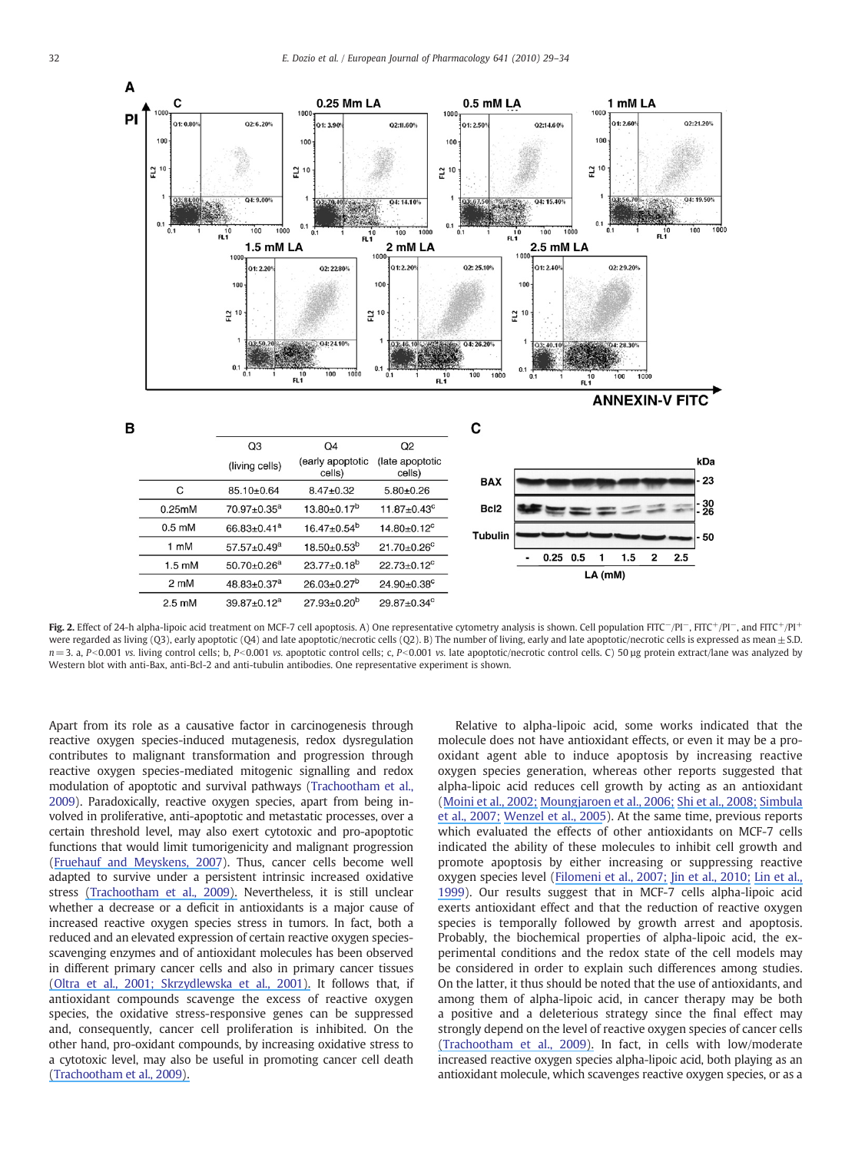

Fig. 2. Effect of 24-h alpha-lipoic acid treatment on MCF-7 cell apoptosis. A) One representative cytometry analysis is shown. Cell population FITC−/PI-, FITC+/PI-, and FITC+/PI+ were regarded as living (Q3), early apoptotic (Q4) and late apoptotic/necrotic cells (Q2). B) The number of living, early and late apoptotic/necrotic cells is expressed as mean  $\pm$  S.D.  $n=3$ . a, P<0.001 vs. living control cells; b, P<0.001 vs. apoptotic control cells; c, P<0.001 vs. late apoptotic/necrotic control cells. C) 50 µg protein extract/lane was analyzed by Western blot with anti-Bax, anti-Bcl-2 and anti-tubulin antibodies. One representative experiment is shown.

Apart from its role as a causative factor in carcinogenesis through reactive oxygen species-induced mutagenesis, redox dysregulation contributes to malignant transformation and progression through reactive oxygen species-mediated mitogenic signalling and redox modulation of apoptotic and survival pathways (Trachootham et al., 2009). Paradoxically, reactive oxygen species, apart from being involved in proliferative, anti-apoptotic and metastatic processes, over a certain threshold level, may also exert cytotoxic and pro-apoptotic functions that would limit tumorigenicity and malignant progression ([Fruehauf and Meyskens, 2007](https://www.researchgate.net/publication/6514829_Reactive_Oxygen_Species_A_Breath_of_Life_or_Death?el=1_x_8&enrichId=rgreq-6e1925e6-a79b-4541-8f50-d3ebefe93c0f&enrichSource=Y292ZXJQYWdlOzQ0ODAyNjI3O0FTOjk5OTIyMzUxMjMwOTg0QDE0MDA4MzQ3NTM0OTM=)). Thus, cancer cells become well adapted to survive under a persistent intrinsic increased oxidative stress [\(Trachootham et al., 2009\).](https://www.researchgate.net/publication/26249927_Trachootham_D_Alexandre_J_Huang_P_Targeting_cancer_cells_by_ROS-mediated_mechanisms_a_radical_therapeutic_approach_Nat_Rev_Drug_Discov_8_579-591?el=1_x_8&enrichId=rgreq-6e1925e6-a79b-4541-8f50-d3ebefe93c0f&enrichSource=Y292ZXJQYWdlOzQ0ODAyNjI3O0FTOjk5OTIyMzUxMjMwOTg0QDE0MDA4MzQ3NTM0OTM=) Nevertheless, it is still unclear whether a decrease or a deficit in antioxidants is a major cause of increased reactive oxygen species stress in tumors. In fact, both a reduced and an elevated expression of certain reactive oxygen speciesscavenging enzymes and of antioxidant molecules has been observed in different primary cancer cells and also in primary cancer tissues [\(Oltra et al., 2001; Skrzydlewska et al., 2001\).](https://www.researchgate.net/publication/8093051_Lipid_peroxidation_and_antioxidant_status_in_colorectal_cancer_World_J_Gastroenterol?el=1_x_8&enrichId=rgreq-6e1925e6-a79b-4541-8f50-d3ebefe93c0f&enrichSource=Y292ZXJQYWdlOzQ0ODAyNjI3O0FTOjk5OTIyMzUxMjMwOTg0QDE0MDA4MzQ3NTM0OTM=) It follows that, if antioxidant compounds scavenge the excess of reactive oxygen species, the oxidative stress-responsive genes can be suppressed and, consequently, cancer cell proliferation is inhibited. On the other hand, pro-oxidant compounds, by increasing oxidative stress to a cytotoxic level, may also be useful in promoting cancer cell death [\(Trachootham et al., 2009\).](https://www.researchgate.net/publication/26249927_Trachootham_D_Alexandre_J_Huang_P_Targeting_cancer_cells_by_ROS-mediated_mechanisms_a_radical_therapeutic_approach_Nat_Rev_Drug_Discov_8_579-591?el=1_x_8&enrichId=rgreq-6e1925e6-a79b-4541-8f50-d3ebefe93c0f&enrichSource=Y292ZXJQYWdlOzQ0ODAyNjI3O0FTOjk5OTIyMzUxMjMwOTg0QDE0MDA4MzQ3NTM0OTM=)

Relative to alpha-lipoic acid, some works indicated that the molecule does not have antioxidant effects, or even it may be a prooxidant agent able to induce apoptosis by increasing reactive oxygen species generation, whereas other reports suggested that alpha-lipoic acid reduces cell growth by acting as an antioxidant ([Moini et al., 2002;](https://www.researchgate.net/publication/11252726_Antioxidant_and_Prooxidant_Activities_of_a-Lipoic_Acid_and_Dihydrolipoic_Acid?el=1_x_8&enrichId=rgreq-6e1925e6-a79b-4541-8f50-d3ebefe93c0f&enrichSource=Y292ZXJQYWdlOzQ0ODAyNjI3O0FTOjk5OTIyMzUxMjMwOTg0QDE0MDA4MzQ3NTM0OTM=) [Moungjaroen et al., 2006;](https://www.researchgate.net/publication/6803062_Reactive_Oxygen_Species_Mediate_Caspase_Activation_and_Apoptosis_Induced_by_Lipoic_Acid_in_Human_Lung_Epithelial_Cancer_Cells_through_Bcl-2_Down-Regulation?el=1_x_8&enrichId=rgreq-6e1925e6-a79b-4541-8f50-d3ebefe93c0f&enrichSource=Y292ZXJQYWdlOzQ0ODAyNjI3O0FTOjk5OTIyMzUxMjMwOTg0QDE0MDA4MzQ3NTM0OTM=) [Shi et al., 2008;](https://www.researchgate.net/publication/5416853_Alpha-lipoic_acid_induces_apoptosis_in_hepatoma_cells_via_the_PTENAkt_pathway?el=1_x_8&enrichId=rgreq-6e1925e6-a79b-4541-8f50-d3ebefe93c0f&enrichSource=Y292ZXJQYWdlOzQ0ODAyNjI3O0FTOjk5OTIyMzUxMjMwOTg0QDE0MDA4MzQ3NTM0OTM=) [Simbula](https://www.researchgate.net/publication/246931904_Increased_ROS_generation_and_p53_activation_in_alpha-lipoic_acid-induced_apoptosis_of_hepatoma_cells_Apoptosis?el=1_x_8&enrichId=rgreq-6e1925e6-a79b-4541-8f50-d3ebefe93c0f&enrichSource=Y292ZXJQYWdlOzQ0ODAyNjI3O0FTOjk5OTIyMzUxMjMwOTg0QDE0MDA4MzQ3NTM0OTM=) [et al., 2007;](https://www.researchgate.net/publication/246931904_Increased_ROS_generation_and_p53_activation_in_alpha-lipoic_acid-induced_apoptosis_of_hepatoma_cells_Apoptosis?el=1_x_8&enrichId=rgreq-6e1925e6-a79b-4541-8f50-d3ebefe93c0f&enrichSource=Y292ZXJQYWdlOzQ0ODAyNjI3O0FTOjk5OTIyMzUxMjMwOTg0QDE0MDA4MzQ3NTM0OTM=) [Wenzel et al., 2005](https://www.researchgate.net/publication/7893455_Alpha-Lipoic_acid_induces_apoptosis_in_human_colon_cancer_cells_by_increasing_mitochondrial_respiration_with_a_concomitant_O2--generation_Apoptosis?el=1_x_8&enrichId=rgreq-6e1925e6-a79b-4541-8f50-d3ebefe93c0f&enrichSource=Y292ZXJQYWdlOzQ0ODAyNjI3O0FTOjk5OTIyMzUxMjMwOTg0QDE0MDA4MzQ3NTM0OTM=)). At the same time, previous reports which evaluated the effects of other antioxidants on MCF-7 cells indicated the ability of these molecules to inhibit cell growth and promote apoptosis by either increasing or suppressing reactive oxygen species level ([Filomeni et al., 2007;](https://www.researchgate.net/publication/23312412_Trans-resveratrol_induces_apoptosis_in_human_breast_cancer_cells_MCF-7_by_the_activation_of_MAP_kinases_pathways_Genes_Nutr_2295-305?el=1_x_8&enrichId=rgreq-6e1925e6-a79b-4541-8f50-d3ebefe93c0f&enrichSource=Y292ZXJQYWdlOzQ0ODAyNjI3O0FTOjk5OTIyMzUxMjMwOTg0QDE0MDA4MzQ3NTM0OTM=) [Jin et al., 2010;](https://www.researchgate.net/publication/245780968_Daidzein_induces_MCF7_breast_cancer_cell_apoptosis_via_the_mitochondrial_pathway?el=1_x_8&enrichId=rgreq-6e1925e6-a79b-4541-8f50-d3ebefe93c0f&enrichSource=Y292ZXJQYWdlOzQ0ODAyNjI3O0FTOjk5OTIyMzUxMjMwOTg0QDE0MDA4MzQ3NTM0OTM=) [Lin et al.,](https://www.researchgate.net/publication/223431861_Cancer_chemoprevention_by_tea_polyphenols_through_mitotic_signal_transduction_blockade_Biochem_Pharmacol?el=1_x_8&enrichId=rgreq-6e1925e6-a79b-4541-8f50-d3ebefe93c0f&enrichSource=Y292ZXJQYWdlOzQ0ODAyNjI3O0FTOjk5OTIyMzUxMjMwOTg0QDE0MDA4MzQ3NTM0OTM=) [1999](https://www.researchgate.net/publication/223431861_Cancer_chemoprevention_by_tea_polyphenols_through_mitotic_signal_transduction_blockade_Biochem_Pharmacol?el=1_x_8&enrichId=rgreq-6e1925e6-a79b-4541-8f50-d3ebefe93c0f&enrichSource=Y292ZXJQYWdlOzQ0ODAyNjI3O0FTOjk5OTIyMzUxMjMwOTg0QDE0MDA4MzQ3NTM0OTM=)). Our results suggest that in MCF-7 cells alpha-lipoic acid exerts antioxidant effect and that the reduction of reactive oxygen species is temporally followed by growth arrest and apoptosis. Probably, the biochemical properties of alpha-lipoic acid, the experimental conditions and the redox state of the cell models may be considered in order to explain such differences among studies. On the latter, it thus should be noted that the use of antioxidants, and among them of alpha-lipoic acid, in cancer therapy may be both a positive and a deleterious strategy since the final effect may strongly depend on the level of reactive oxygen species of cancer cells [\(Trachootham et al., 2009\).](https://www.researchgate.net/publication/26249927_Trachootham_D_Alexandre_J_Huang_P_Targeting_cancer_cells_by_ROS-mediated_mechanisms_a_radical_therapeutic_approach_Nat_Rev_Drug_Discov_8_579-591?el=1_x_8&enrichId=rgreq-6e1925e6-a79b-4541-8f50-d3ebefe93c0f&enrichSource=Y292ZXJQYWdlOzQ0ODAyNjI3O0FTOjk5OTIyMzUxMjMwOTg0QDE0MDA4MzQ3NTM0OTM=) In fact, in cells with low/moderate increased reactive oxygen species alpha-lipoic acid, both playing as an antioxidant molecule, which scavenges reactive oxygen species, or as a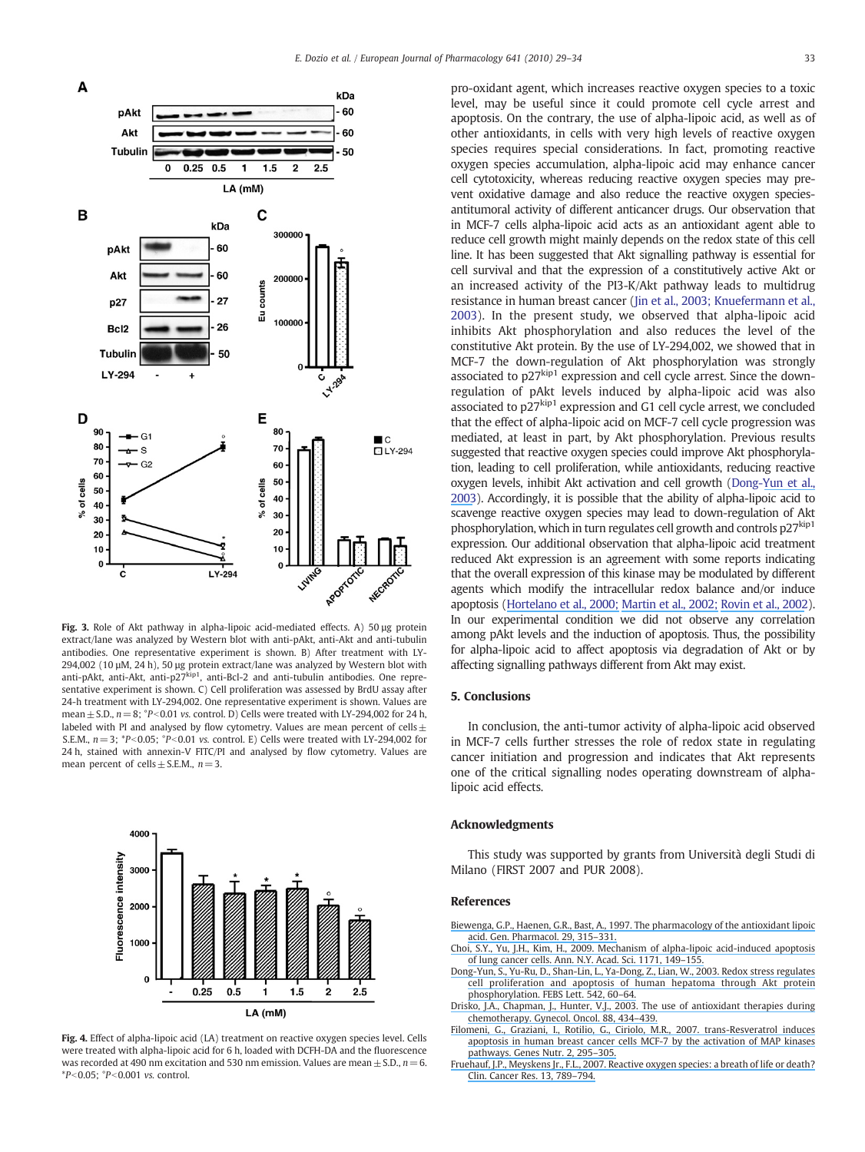

Fig. 3. Role of Akt pathway in alpha-lipoic acid-mediated effects. A) 50 µg protein extract/lane was analyzed by Western blot with anti-pAkt, anti-Akt and anti-tubulin antibodies. One representative experiment is shown. B) After treatment with LY-294,002 (10 µM, 24 h), 50 µg protein extract/lane was analyzed by Western blot with anti-pAkt, anti-Akt, anti-p27<sup>kip1</sup>, anti-Bcl-2 and anti-tubulin antibodies. One representative experiment is shown. C) Cell proliferation was assessed by BrdU assay after 24-h treatment with LY-294,002. One representative experiment is shown. Values are mean  $\pm$  S.D.,  $n=8$ ; °P<0.01 vs. control. D) Cells were treated with LY-294,002 for 24 h, labeled with PI and analysed by flow cytometry. Values are mean percent of cells $\pm$ S.E.M.,  $n=3$ ; \*P<0.05; °P<0.01 vs. control. E) Cells were treated with LY-294,002 for 24 h, stained with annexin-V FITC/PI and analysed by flow cytometry. Values are mean percent of cells  $\pm$  S.E.M.,  $n = 3$ .





pro-oxidant agent, which increases reactive oxygen species to a toxic level, may be useful since it could promote cell cycle arrest and apoptosis. On the contrary, the use of alpha-lipoic acid, as well as of other antioxidants, in cells with very high levels of reactive oxygen species requires special considerations. In fact, promoting reactive oxygen species accumulation, alpha-lipoic acid may enhance cancer cell cytotoxicity, whereas reducing reactive oxygen species may prevent oxidative damage and also reduce the reactive oxygen speciesantitumoral activity of different anticancer drugs. Our observation that in MCF-7 cells alpha-lipoic acid acts as an antioxidant agent able to reduce cell growth might mainly depends on the redox state of this cell line. It has been suggested that Akt signalling pathway is essential for cell survival and that the expression of a constitutively active Akt or an increased activity of the PI3-K/Akt pathway leads to multidrug resistance in human breast cancer (Jin et al., 2003; Knuefermann et al., 2003). In the present study, we observed that alpha-lipoic acid inhibits Akt phosphorylation and also reduces the level of the constitutive Akt protein. By the use of LY-294,002, we showed that in MCF-7 the down-regulation of Akt phosphorylation was strongly associated to  $p27^{kip1}$  expression and cell cycle arrest. Since the downregulation of pAkt levels induced by alpha-lipoic acid was also associated to p27<sub>kip1</sub> expression and G1 cell cycle arrest, we concluded that the effect of alpha-lipoic acid on MCF-7 cell cycle progression was mediated, at least in part, by Akt phosphorylation. Previous results suggested that reactive oxygen species could improve Akt phosphorylation, leading to cell proliferation, while antioxidants, reducing reactive oxygen levels, inhibit Akt activation and cell growth (Dong-[Yun et al.,](https://www.researchgate.net/publication/10775179_Redox_stress_regulates_cell_proliferation_and_apoptosis_of_human_hepatoma_through_Akt_protein_phosphorylation?el=1_x_8&enrichId=rgreq-6e1925e6-a79b-4541-8f50-d3ebefe93c0f&enrichSource=Y292ZXJQYWdlOzQ0ODAyNjI3O0FTOjk5OTIyMzUxMjMwOTg0QDE0MDA4MzQ3NTM0OTM=) [2003](https://www.researchgate.net/publication/10775179_Redox_stress_regulates_cell_proliferation_and_apoptosis_of_human_hepatoma_through_Akt_protein_phosphorylation?el=1_x_8&enrichId=rgreq-6e1925e6-a79b-4541-8f50-d3ebefe93c0f&enrichSource=Y292ZXJQYWdlOzQ0ODAyNjI3O0FTOjk5OTIyMzUxMjMwOTg0QDE0MDA4MzQ3NTM0OTM=)). Accordingly, it is possible that the ability of alpha-lipoic acid to scavenge reactive oxygen species may lead to down-regulation of Akt phosphorylation, which in turn regulates cell growth and controls p27<sup>kip1</sup> expression. Our additional observation that alpha-lipoic acid treatment reduced Akt expression is an agreement with some reports indicating that the overall expression of this kinase may be modulated by different agents which modify the intracellular redox balance and/or induce apoptosis [\(Hortelano et al., 2000;](https://www.researchgate.net/publication/12241909_Contribution_of_Cyclopentenone_Prostaglandins_to_the_Resolution_of_Inflammation_Through_the_Potentiation_of_Apoptosis_in_Activated_Macrophages?el=1_x_8&enrichId=rgreq-6e1925e6-a79b-4541-8f50-d3ebefe93c0f&enrichSource=Y292ZXJQYWdlOzQ0ODAyNjI3O0FTOjk5OTIyMzUxMjMwOTg0QDE0MDA4MzQ3NTM0OTM=) Martin [et al., 2002;](https://www.researchgate.net/publication/11174965_Ceramide_and_Reactive_Oxygen_Species_Generated_by_H2O2_Induce_Caspase-3-independent_Degradation_of_AktProtein_Kinase_B?el=1_x_8&enrichId=rgreq-6e1925e6-a79b-4541-8f50-d3ebefe93c0f&enrichSource=Y292ZXJQYWdlOzQ0ODAyNjI3O0FTOjk5OTIyMzUxMjMwOTg0QDE0MDA4MzQ3NTM0OTM=) [Rovin et al., 2002](https://www.researchgate.net/publication/238213773_15-Deoxy-D1214-prostaglandin_J2_regulates_mesangial_cell_proliferation_and_death?el=1_x_8&enrichId=rgreq-6e1925e6-a79b-4541-8f50-d3ebefe93c0f&enrichSource=Y292ZXJQYWdlOzQ0ODAyNjI3O0FTOjk5OTIyMzUxMjMwOTg0QDE0MDA4MzQ3NTM0OTM=)). In our experimental condition we did not observe any correlation among pAkt levels and the induction of apoptosis. Thus, the possibility for alpha-lipoic acid to affect apoptosis via degradation of Akt or by affecting signalling pathways different from Akt may exist.

#### 5. Conclusions

In conclusion, the anti-tumor activity of alpha-lipoic acid observed in MCF-7 cells further stresses the role of redox state in regulating cancer initiation and progression and indicates that Akt represents one of the critical signalling nodes operating downstream of alphalipoic acid effects.

#### Acknowledgments

This study was supported by grants from Università degli Studi di Milano (FIRST 2007 and PUR 2008).

#### References

[Biewenga, G.P., Haenen, G.R., Bast, A., 1997. The pharmacology of the antioxidant lipoic](https://www.researchgate.net/publication/13852229_The_pharmacology_of_the_antioxidant_Lipoic_acid?el=1_x_8&enrichId=rgreq-6e1925e6-a79b-4541-8f50-d3ebefe93c0f&enrichSource=Y292ZXJQYWdlOzQ0ODAyNjI3O0FTOjk5OTIyMzUxMjMwOTg0QDE0MDA4MzQ3NTM0OTM=) [acid. Gen. Pharmacol. 29, 315](https://www.researchgate.net/publication/13852229_The_pharmacology_of_the_antioxidant_Lipoic_acid?el=1_x_8&enrichId=rgreq-6e1925e6-a79b-4541-8f50-d3ebefe93c0f&enrichSource=Y292ZXJQYWdlOzQ0ODAyNjI3O0FTOjk5OTIyMzUxMjMwOTg0QDE0MDA4MzQ3NTM0OTM=)–331.

- [Choi, S.Y., Yu, J.H., Kim, H., 2009. Mechanism of alpha-lipoic acid-induced apoptosis](https://www.researchgate.net/publication/26782514_Mechanism_of_a-Lipoic_Acid-Induced_Apoptosis_of_Lung_Cancer_Cells?el=1_x_8&enrichId=rgreq-6e1925e6-a79b-4541-8f50-d3ebefe93c0f&enrichSource=Y292ZXJQYWdlOzQ0ODAyNjI3O0FTOjk5OTIyMzUxMjMwOTg0QDE0MDA4MzQ3NTM0OTM=) [of lung cancer cells. Ann. N.Y. Acad. Sci. 1171, 149](https://www.researchgate.net/publication/26782514_Mechanism_of_a-Lipoic_Acid-Induced_Apoptosis_of_Lung_Cancer_Cells?el=1_x_8&enrichId=rgreq-6e1925e6-a79b-4541-8f50-d3ebefe93c0f&enrichSource=Y292ZXJQYWdlOzQ0ODAyNjI3O0FTOjk5OTIyMzUxMjMwOTg0QDE0MDA4MzQ3NTM0OTM=)–155.
- [Dong-Yun, S., Yu-Ru, D., Shan-Lin, L., Ya-Dong, Z., Lian, W., 2003. Redox stress regulates](https://www.researchgate.net/publication/10775179_Redox_stress_regulates_cell_proliferation_and_apoptosis_of_human_hepatoma_through_Akt_protein_phosphorylation?el=1_x_8&enrichId=rgreq-6e1925e6-a79b-4541-8f50-d3ebefe93c0f&enrichSource=Y292ZXJQYWdlOzQ0ODAyNjI3O0FTOjk5OTIyMzUxMjMwOTg0QDE0MDA4MzQ3NTM0OTM=) [cell proliferation and apoptosis of human hepatoma through Akt protein](https://www.researchgate.net/publication/10775179_Redox_stress_regulates_cell_proliferation_and_apoptosis_of_human_hepatoma_through_Akt_protein_phosphorylation?el=1_x_8&enrichId=rgreq-6e1925e6-a79b-4541-8f50-d3ebefe93c0f&enrichSource=Y292ZXJQYWdlOzQ0ODAyNjI3O0FTOjk5OTIyMzUxMjMwOTg0QDE0MDA4MzQ3NTM0OTM=) [phosphorylation. FEBS Lett. 542, 60](https://www.researchgate.net/publication/10775179_Redox_stress_regulates_cell_proliferation_and_apoptosis_of_human_hepatoma_through_Akt_protein_phosphorylation?el=1_x_8&enrichId=rgreq-6e1925e6-a79b-4541-8f50-d3ebefe93c0f&enrichSource=Y292ZXJQYWdlOzQ0ODAyNjI3O0FTOjk5OTIyMzUxMjMwOTg0QDE0MDA4MzQ3NTM0OTM=)–64.
- [Drisko, J.A., Chapman, J., Hunter, V.J., 2003. The use of antioxidant therapies during](https://www.researchgate.net/publication/10845249_The_use_of_antioxidant_therapies_during_chemotherapy?el=1_x_8&enrichId=rgreq-6e1925e6-a79b-4541-8f50-d3ebefe93c0f&enrichSource=Y292ZXJQYWdlOzQ0ODAyNjI3O0FTOjk5OTIyMzUxMjMwOTg0QDE0MDA4MzQ3NTM0OTM=) [chemotherapy. Gynecol. Oncol. 88, 434](https://www.researchgate.net/publication/10845249_The_use_of_antioxidant_therapies_during_chemotherapy?el=1_x_8&enrichId=rgreq-6e1925e6-a79b-4541-8f50-d3ebefe93c0f&enrichSource=Y292ZXJQYWdlOzQ0ODAyNjI3O0FTOjk5OTIyMzUxMjMwOTg0QDE0MDA4MzQ3NTM0OTM=)–439.
- [Filomeni, G., Graziani, I., Rotilio, G., Ciriolo, M.R., 2007. trans-Resveratrol induces](https://www.researchgate.net/publication/23312412_Trans-resveratrol_induces_apoptosis_in_human_breast_cancer_cells_MCF-7_by_the_activation_of_MAP_kinases_pathways_Genes_Nutr_2295-305?el=1_x_8&enrichId=rgreq-6e1925e6-a79b-4541-8f50-d3ebefe93c0f&enrichSource=Y292ZXJQYWdlOzQ0ODAyNjI3O0FTOjk5OTIyMzUxMjMwOTg0QDE0MDA4MzQ3NTM0OTM=) [apoptosis in human breast cancer cells MCF-7 by the activation of MAP kinases](https://www.researchgate.net/publication/23312412_Trans-resveratrol_induces_apoptosis_in_human_breast_cancer_cells_MCF-7_by_the_activation_of_MAP_kinases_pathways_Genes_Nutr_2295-305?el=1_x_8&enrichId=rgreq-6e1925e6-a79b-4541-8f50-d3ebefe93c0f&enrichSource=Y292ZXJQYWdlOzQ0ODAyNjI3O0FTOjk5OTIyMzUxMjMwOTg0QDE0MDA4MzQ3NTM0OTM=) [pathways. Genes Nutr. 2, 295](https://www.researchgate.net/publication/23312412_Trans-resveratrol_induces_apoptosis_in_human_breast_cancer_cells_MCF-7_by_the_activation_of_MAP_kinases_pathways_Genes_Nutr_2295-305?el=1_x_8&enrichId=rgreq-6e1925e6-a79b-4541-8f50-d3ebefe93c0f&enrichSource=Y292ZXJQYWdlOzQ0ODAyNjI3O0FTOjk5OTIyMzUxMjMwOTg0QDE0MDA4MzQ3NTM0OTM=)–305.
- [Fruehauf, J.P., Meyskens Jr., F.L., 2007. Reactive oxygen species: a breath of life or death?](https://www.researchgate.net/publication/6514829_Reactive_Oxygen_Species_A_Breath_of_Life_or_Death?el=1_x_8&enrichId=rgreq-6e1925e6-a79b-4541-8f50-d3ebefe93c0f&enrichSource=Y292ZXJQYWdlOzQ0ODAyNjI3O0FTOjk5OTIyMzUxMjMwOTg0QDE0MDA4MzQ3NTM0OTM=) [Clin. Cancer Res. 13, 789](https://www.researchgate.net/publication/6514829_Reactive_Oxygen_Species_A_Breath_of_Life_or_Death?el=1_x_8&enrichId=rgreq-6e1925e6-a79b-4541-8f50-d3ebefe93c0f&enrichSource=Y292ZXJQYWdlOzQ0ODAyNjI3O0FTOjk5OTIyMzUxMjMwOTg0QDE0MDA4MzQ3NTM0OTM=)–794.